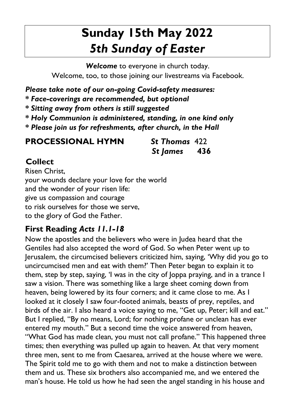# **Sunday 15th May 2022**  *5th Sunday of Easter*

*Welcome* to everyone in church today. Welcome, too, to those joining our livestreams via Facebook.

*Please take note of our on-going Covid-safety measures:* 

*\* Face-coverings are recommended, but optional* 

*\* Sitting away from others is still suggested* 

- *\* Holy Communion is administered, standing, in one kind only*
- *\* Please join us for refreshments, after church, in the Hall*

**PROCESSIONAL HYMN** *St Thomas* 422

*St James* **436**

#### **Collect**

Risen Christ, your wounds declare your love for the world and the wonder of your risen life: give us compassion and courage to risk ourselves for those we serve, to the glory of God the Father.

### **First Reading** *Acts 11.1-18*

Now the apostles and the believers who were in Judea heard that the Gentiles had also accepted the word of God. So when Peter went up to Jerusalem, the circumcised believers criticized him, saying, 'Why did you go to uncircumcised men and eat with them?' Then Peter began to explain it to them, step by step, saying, 'I was in the city of Joppa praying, and in a trance I saw a vision. There was something like a large sheet coming down from heaven, being lowered by its four corners; and it came close to me. As I looked at it closely I saw four-footed animals, beasts of prey, reptiles, and birds of the air. I also heard a voice saying to me, "Get up, Peter; kill and eat." But I replied, "By no means, Lord; for nothing profane or unclean has ever entered my mouth." But a second time the voice answered from heaven, "What God has made clean, you must not call profane." This happened three times; then everything was pulled up again to heaven. At that very moment three men, sent to me from Caesarea, arrived at the house where we were. The Spirit told me to go with them and not to make a distinction between them and us. These six brothers also accompanied me, and we entered the man's house. He told us how he had seen the angel standing in his house and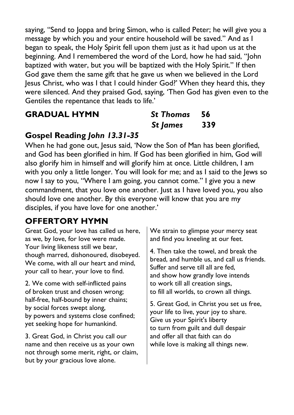saying, "Send to Joppa and bring Simon, who is called Peter; he will give you a message by which you and your entire household will be saved." And as I began to speak, the Holy Spirit fell upon them just as it had upon us at the beginning. And I remembered the word of the Lord, how he had said, "John baptized with water, but you will be baptized with the Holy Spirit." If then God gave them the same gift that he gave us when we believed in the Lord Jesus Christ, who was I that I could hinder God?' When they heard this, they were silenced. And they praised God, saying, 'Then God has given even to the Gentiles the repentance that leads to life.'

#### **GRADUAL HYMN** *St Thomas* **56**

# *St James* **339**

#### **Gospel Reading** *John 13.31-35*

When he had gone out, Jesus said, 'Now the Son of Man has been glorified, and God has been glorified in him. If God has been glorified in him, God will also glorify him in himself and will glorify him at once. Little children, I am with you only a little longer. You will look for me; and as I said to the Jews so now I say to you, "Where I am going, you cannot come." I give you a new commandment, that you love one another. Just as I have loved you, you also should love one another. By this everyone will know that you are my disciples, if you have love for one another.'

#### **OFFERTORY HYMN**

Great God, your love has called us here, as we, by love, for love were made. Your living likeness still we bear, though marred, dishonoured, disobeyed. We come, with all our heart and mind. your call to hear, your love to find.

2. We come with self-inflicted pains of broken trust and chosen wrong; half-free, half-bound by inner chains; by social forces swept along, by powers and systems close confined; yet seeking hope for humankind.

3. Great God, in Christ you call our name and then receive us as your own not through some merit, right, or claim, but by your gracious love alone.

We strain to glimpse your mercy seat and find you kneeling at our feet.

4. Then take the towel, and break the bread, and humble us, and call us friends. Suffer and serve till all are fed, and show how grandly love intends to work till all creation sings, to fill all worlds, to crown all things.

5. Great God, in Christ you set us free, your life to live, your joy to share. Give us your Spirit's liberty to turn from guilt and dull despair and offer all that faith can do while love is making all things new.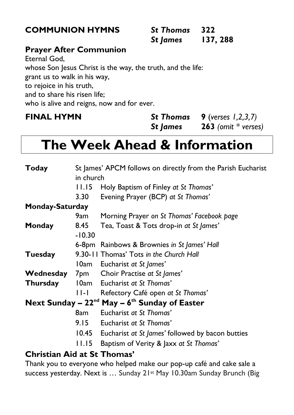#### **COMMUNION HYMNS** *St Thomas* **322**

| <b>COMMUNION HYMNS</b> | <b>St Thomas</b> 322 |          |
|------------------------|----------------------|----------|
|                        | St James             | 137, 288 |

#### **Prayer After Communion**

Eternal God, whose Son Jesus Christ is the way, the truth, and the life: grant us to walk in his way, to rejoice in his truth, and to share his risen life; who is alive and reigns, now and for ever.

**FINAL HYMN** *St Thomas* **9** (*verses 1,2,3,7)* *St James* **263** *(omit \* verses)*

# **The Week Ahead & Information**

| Today                                                   | St James' APCM follows on directly from the Parish Eucharist |                                                  |  |
|---------------------------------------------------------|--------------------------------------------------------------|--------------------------------------------------|--|
|                                                         | in church                                                    |                                                  |  |
|                                                         | 11.15                                                        | Holy Baptism of Finley at St Thomas'             |  |
|                                                         | 3.30                                                         | Evening Prayer (BCP) at St Thomas'               |  |
| <b>Monday-Saturday</b>                                  |                                                              |                                                  |  |
|                                                         | 9am                                                          | Morning Prayer on St Thomas' Facebook page       |  |
| Monday                                                  | 8.45                                                         | Tea, Toast & Tots drop-in at St James'           |  |
|                                                         | $-10.30$                                                     |                                                  |  |
|                                                         |                                                              | 6-8pm Rainbows & Brownies in St James' Hall      |  |
| Tuesday                                                 |                                                              | 9.30-11 Thomas' Tots in the Church Hall          |  |
|                                                         |                                                              | 10am Eucharist at St James'                      |  |
| Wednesday                                               |                                                              | 7pm Choir Practise at St James'                  |  |
| <b>Thursday</b>                                         |                                                              | 10am Eucharist at St Thomas'                     |  |
|                                                         | $  -  $                                                      | Refectory Café open at St Thomas'                |  |
| Next Sunday – $22^{nd}$ May – $6^{th}$ Sunday of Easter |                                                              |                                                  |  |
|                                                         | 8am                                                          | Eucharist at St Thomas'                          |  |
|                                                         | 9.15                                                         | Eucharist at St Thomas'                          |  |
|                                                         | 10.45                                                        | Eucharist at St James' followed by bacon butties |  |
|                                                         | 11.15                                                        | Baptism of Verity & Jaxx at St Thomas'           |  |
| <b>Christian Aid at St Thomas'</b>                      |                                                              |                                                  |  |

Thank you to everyone who helped make our pop-up café and cake sale a success yesterday. Next is ... Sunday 21st May 10.30am Sunday Brunch (Big